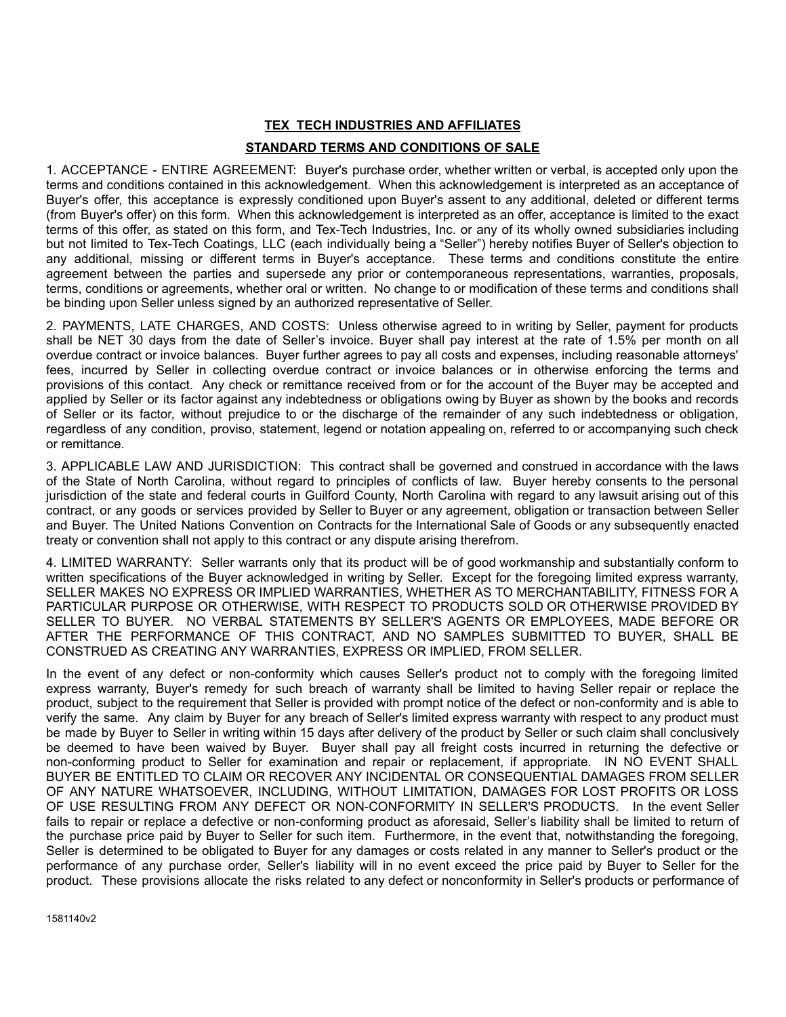## **TEX\_TECH INDUSTRIES AND AFFILIATES STANDARD TERMS AND CONDITIONS OF SALE**

 1. ACCEPTANCE - ENTIRE AGREEMENT: Buyer's purchase order, whether written or verbal, is accepted only upon the terms and conditions contained in this acknowledgement. When this acknowledgement is interpreted as an acceptance of Buyer's offer, this acceptance is expressly conditioned upon Buyer's assent to any additional, deleted or different terms (from Buyer's offer) on this form. When this acknowledgement is interpreted as an offer, acceptance is limited to the exact terms of this offer, as stated on this form, and Tex-Tech Industries, Inc. or any of its wholly owned subsidiaries including but not limited to Tex-Tech Coatings, LLC (each individually being a "Seller") hereby notifies Buyer of Seller's objection to any additional, missing or different terms in Buyer's acceptance. These terms and conditions constitute the entire agreement between the parties and supersede any prior or contemporaneous representations, warranties, proposals, terms, conditions or agreements, whether oral or written. No change to or modification of these terms and conditions shall be binding upon Seller unless signed by an authorized representative of Seller.

 2. PAYMENTS, LATE CHARGES, AND COSTS: Unless otherwise agreed to in writing by Seller, payment for products shall be NET 30 days from the date of Seller's invoice. Buyer shall pay interest at the rate of 1.5% per month on all overdue contract or invoice balances. Buyer further agrees to pay all costs and expenses, including reasonable attorneys' fees, incurred by Seller in collecting overdue contract or invoice balances or in otherwise enforcing the terms and provisions of this contact. Any check or remittance received from or for the account of the Buyer may be accepted and applied by Seller or its factor against any indebtedness or obligations owing by Buyer as shown by the books and records of Seller or its factor, without prejudice to or the discharge of the remainder of any such indebtedness or obligation, regardless of any condition, proviso, statement, legend or notation appealing on, referred to or accompanying such check or remittance.

 3. APPLICABLE LAW AND JURISDICTION: This contract shall be governed and construed in accordance with the laws of the State of North Carolina, without regard to principles of conflicts of law. Buyer hereby consents to the personal jurisdiction of the state and federal courts in Guilford County, North Carolina with regard to any lawsuit arising out of this contract, or any goods or services provided by Seller to Buyer or any agreement, obligation or transaction between Seller and Buyer. The United Nations Convention on Contracts for the International Sale of Goods or any subsequently enacted treaty or convention shall not apply to this contract or any dispute arising therefrom.

 4. LIMITED WARRANTY: Seller warrants only that its product will be of good workmanship and substantially conform to written specifications of the Buyer acknowledged in writing by Seller. Except for the foregoing limited express warranty, SELLER MAKES NO EXPRESS OR IMPLIED WARRANTIES, WHETHER AS TO MERCHANTABILITY, FITNESS FOR A PARTICULAR PURPOSE OR OTHERWISE, WITH RESPECT TO PRODUCTS SOLD OR OTHERWISE PROVIDED BY SELLER TO BUYER. NO VERBAL STATEMENTS BY SELLER'S AGENTS OR EMPLOYEES, MADE BEFORE OR AFTER THE PERFORMANCE OF THIS CONTRACT, AND NO SAMPLES SUBMITTED TO BUYER, SHALL BE CONSTRUED AS CREATING ANY WARRANTIES, EXPRESS OR IMPLIED, FROM SELLER .

 In the event of any defect or non-conformity which causes Seller's product not to comply with the foregoing limited express warranty, Buyer's remedy for such breach of warranty shall be limited to having Seller repair or replace the product, subject to the requirement that Seller is provided with prompt notice of the defect or non-conformity and is able to verify the same. Any claim by Buyer for any breach of Seller's limited express warranty with respect to any product must be made by Buyer to Seller in writing within 15 days after delivery of the product by Seller or such claim shall conclusively be deemed to have been waived by Buyer. Buyer shall pay all freight costs incurred in returning the defective or non-conforming product to Seller for examination and repair or replacement, if appropriate. IN NO EVENT SHALL BUYER BE ENTITLED TO CLAIM OR RECOVER ANY INCIDENTAL OR CONSEQUENTIAL DAMAGES FROM SELLER OF ANY NATURE WHATSOEVER, INCLUDING, WITHOUT LIMITATION, DAMAGES FOR LOST PROFITS OR LOSS OF USE RESULTING FROM ANY DEFECT OR NON-CONFORMITY IN SELLER'S PRODUCTS. In the event Seller fails to repair or replace a defective or non-conforming product as aforesaid, Seller's liability shall be limited to return of the purchase price paid by Buyer to Seller for such item. Furthermore, in the event that, notwithstanding the foregoing, Seller is determined to be obligated to Buyer for any damages or costs related in any manner to Seller's product or the performance of any purchase order, Seller's liability will in no event exceed the price paid by Buyer to Seller for the product. These provisions allocate the risks related to any defect or nonconformity in Seller's products or performance of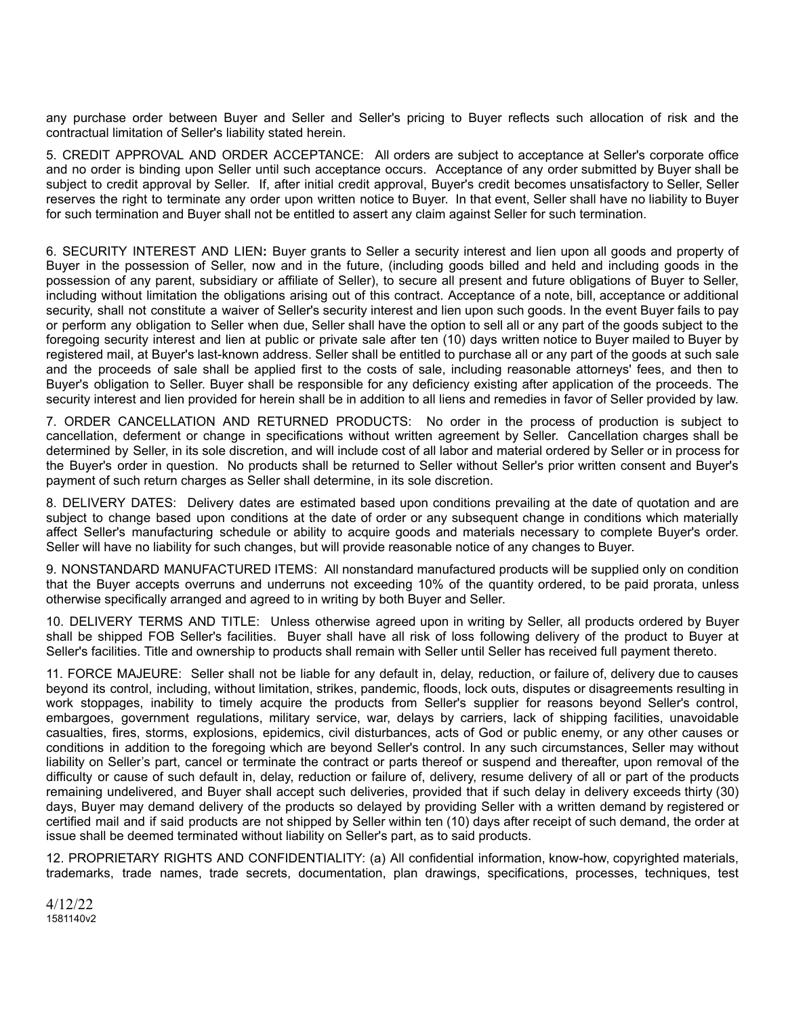any purchase order between Buyer and Seller and Seller's pricing to Buyer reflects such allocation of risk and the contractual limitation of Seller's liability stated herein.

 5. CREDIT APPROVAL AND ORDER ACCEPTANCE: All orders are subject to acceptance at Seller's corporate office and no order is binding upon Seller until such acceptance occurs. Acceptance of any order submitted by Buyer shall be subject to credit approval by Seller. If, after initial credit approval, Buyer's credit becomes unsatisfactory to Seller, Seller reserves the right to terminate any order upon written notice to Buyer. In that event, Seller shall have no liability to Buyer for such termination and Buyer shall not be entitled to assert any claim against Seller for such termination.

6. SECURITY INTEREST AND LIEN: Buyer grants to Seller a security interest and lien upon all goods and property of Buyer in the possession of Seller, now and in the future, (including goods billed and held and including goods in the possession of any parent, subsidiary or affiliate of Seller), to secure all present and future obligations of Buyer to Seller, including without limitation the obligations arising out of this contract. Acceptance of a note, bill, acceptance or additional security, shall not constitute a waiver of Seller's security interest and lien upon such goods. In the event Buyer fails to pay or perform any obligation to Seller when due, Seller shall have the option to sell all or any part of the goods subject to the foregoing security interest and lien at public or private sale after ten (10) days written notice to Buyer mailed to Buyer by registered mail, at Buyer's last-known address. Seller shall be entitled to purchase all or any part of the goods at such sale and the proceeds of sale shall be applied first to the costs of sale, including reasonable attorneys' fees, and then to Buyer's obligation to Seller. Buyer shall be responsible for any deficiency existing after application of the proceeds. The security interest and lien provided for herein shall be in addition to all liens and remedies in favor of Seller provided by law.

 7. ORDER CANCELLATION AND RETURNED PRODUCTS: No order in the process of production is subject to cancellation, deferment or change in specifications without written agreement by Seller. Cancellation charges shall be determined by Seller, in its sole discretion, and will include cost of all labor and material ordered by Seller or in process for the Buyer's order in question. No products shall be returned to Seller without Seller's prior written consent and Buyer's payment of such return charges as Seller shall determine, in its sole discretion.

 8. DELIVERY DATES: Delivery dates are estimated based upon conditions prevailing at the date of quotation and are subject to change based upon conditions at the date of order or any subsequent change in conditions which materially affect Seller's manufacturing schedule or ability to acquire goods and materials necessary to complete Buyer's order. Seller will have no liability for such changes, but will provide reasonable notice of any changes to Buyer.

 9. NONSTANDARD MANUFACTURED ITEMS: All nonstandard manufactured products will be supplied only on condition that the Buyer accepts overruns and underruns not exceeding 10% of the quantity ordered, to be paid prorata, unless otherwise specifically arranged and agreed to in writing by both Buyer and Seller.

 10. DELIVERY TERMS AND TITLE: Unless otherwise agreed upon in writing by Seller, all products ordered by Buyer shall be shipped FOB Seller's facilities. Buyer shall have all risk of loss following delivery of the product to Buyer at Seller's facilities. Title and ownership to products shall remain with Seller until Seller has received full payment thereto.

 11. FORCE MAJEURE: Seller shall not be liable for any default in, delay, reduction, or failure of, delivery due to causes beyond its control, including, without limitation, strikes, pandemic, floods, lock outs, disputes or disagreements resulting in work stoppages, inability to timely acquire the products from Seller's supplier for reasons beyond Seller's control, embargoes, government regulations, military service, war, delays by carriers, lack of shipping facilities, unavoidable casualties, fires, storms, explosions, epidemics, civil disturbances, acts of God or public enemy, or any other causes or conditions in addition to the foregoing which are beyond Seller's control. In any such circumstances, Seller may without liability on Seller's part, cancel or terminate the contract or parts thereof or suspend and thereafter, upon removal of the difficulty or cause of such default in, delay, reduction or failure of, delivery, resume delivery of all or part of the products remaining undelivered, and Buyer shall accept such deliveries, provided that if such delay in delivery exceeds thirty (30) days, Buyer may demand delivery of the products so delayed by providing Seller with a written demand by registered or certified mail and if said products are not shipped by Seller within ten (10) days after receipt of such demand, the order at issue shall be deemed terminated without liability on Seller's part, as to said products.

 12. PROPRIETARY RIGHTS AND CONFIDENTIALITY: (a) All confidential information, know-how, copyrighted materials, trademarks, trade names, trade secrets, documentation, plan drawings, specifications, processes, techniques, test

 4/12/22 1581140v2